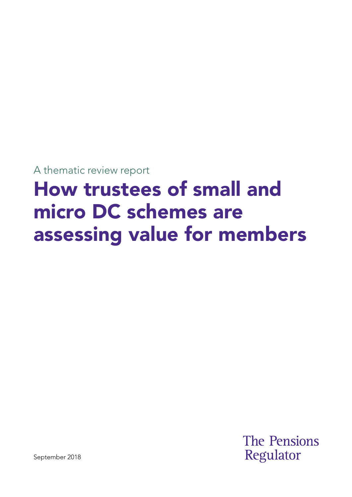A thematic review report

# How trustees of small and micro DC schemes are assessing value for members

**The Pensions** Regulator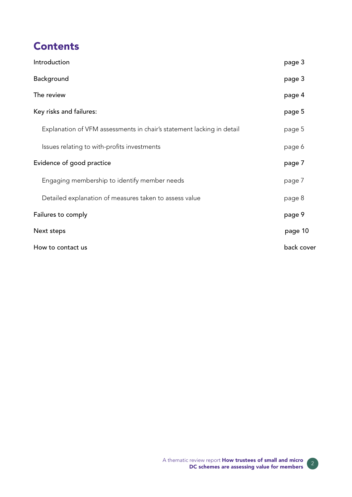## **Contents**

| Introduction                                                          | page 3     |
|-----------------------------------------------------------------------|------------|
| Background                                                            | page 3     |
| The review                                                            | page 4     |
| Key risks and failures:                                               | page 5     |
| Explanation of VFM assessments in chair's statement lacking in detail | page 5     |
| Issues relating to with-profits investments                           | page 6     |
| Evidence of good practice                                             | page 7     |
| Engaging membership to identify member needs                          | page 7     |
| Detailed explanation of measures taken to assess value                | page 8     |
| Failures to comply                                                    | page 9     |
| Next steps                                                            | page 10    |
| How to contact us                                                     | back cover |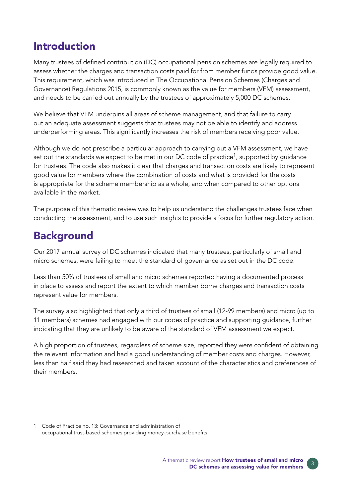## Introduction

Many trustees of defned contribution (DC) occupational pension schemes are legally required to assess whether the charges and transaction costs paid for from member funds provide good value. This requirement, which was introduced in The Occupational Pension Schemes (Charges and Governance) Regulations 2015, is commonly known as the value for members (VFM) assessment, and needs to be carried out annually by the trustees of approximately 5,000 DC schemes.

We believe that VFM underpins all areas of scheme management, and that failure to carry out an adequate assessment suggests that trustees may not be able to identify and address underperforming areas. This significantly increases the risk of members receiving poor value.

Although we do not prescribe a particular approach to carrying out a VFM assessment, we have set out the standards we expect to be met in our DC code of practice<sup>1</sup>, supported by quidance for trustees. The code also makes it clear that charges and transaction costs are likely to represent good value for members where the combination of costs and what is provided for the costs is appropriate for the scheme membership as a whole, and when compared to other options available in the market.

The purpose of this thematic review was to help us understand the challenges trustees face when conducting the assessment, and to use such insights to provide a focus for further regulatory action.

# **Background**

Our 2017 annual survey of DC schemes indicated that many trustees, particularly of small and micro schemes, were failing to meet the standard of governance as set out in the DC code.

Less than 50% of trustees of small and micro schemes reported having a documented process in place to assess and report the extent to which member borne charges and transaction costs represent value for members.

The survey also highlighted that only a third of trustees of small (12-99 members) and micro (up to 11 members) schemes had engaged with our codes of practice and supporting guidance, further indicating that they are unlikely to be aware of the standard of VFM assessment we expect.

A high proportion of trustees, regardless of scheme size, reported they were confident of obtaining the relevant information and had a good understanding of member costs and charges. However, less than half said they had researched and taken account of the characteristics and preferences of their members.

Code of Practice no. 13: Governance and administration of 1 occupational trust-based schemes providing money-purchase benefts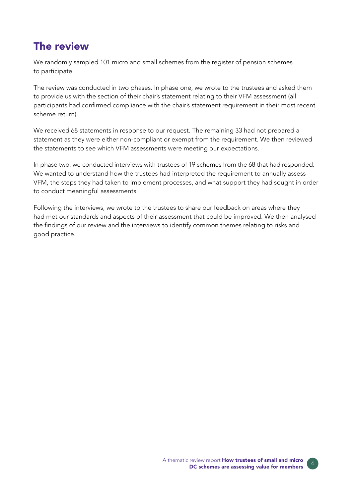### The review

We randomly sampled 101 micro and small schemes from the register of pension schemes to participate.

The review was conducted in two phases. In phase one, we wrote to the trustees and asked them to provide us with the section of their chair's statement relating to their VFM assessment (all participants had confrmed compliance with the chair's statement requirement in their most recent scheme return).

We received 68 statements in response to our request. The remaining 33 had not prepared a statement as they were either non-compliant or exempt from the requirement. We then reviewed the statements to see which VFM assessments were meeting our expectations.

In phase two, we conducted interviews with trustees of 19 schemes from the 68 that had responded. We wanted to understand how the trustees had interpreted the requirement to annually assess VFM, the steps they had taken to implement processes, and what support they had sought in order to conduct meaningful assessments.

Following the interviews, we wrote to the trustees to share our feedback on areas where they had met our standards and aspects of their assessment that could be improved. We then analysed the findings of our review and the interviews to identify common themes relating to risks and good practice.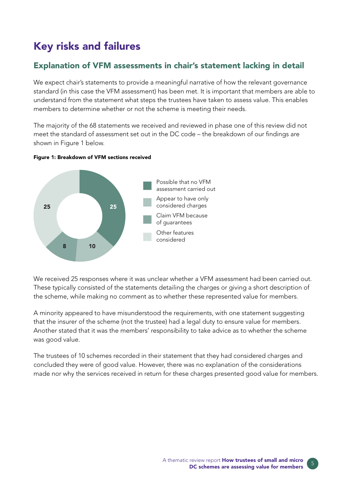# Key risks and failures

### Explanation of VFM assessments in chair's statement lacking in detail

We expect chair's statements to provide a meaningful narrative of how the relevant governance standard (in this case the VFM assessment) has been met. It is important that members are able to understand from the statement what steps the trustees have taken to assess value. This enables members to determine whether or not the scheme is meeting their needs.

The majority of the 68 statements we received and reviewed in phase one of this review did not meet the standard of assessment set out in the DC code – the breakdown of our findings are shown in Figure 1 below.





We received 25 responses where it was unclear whether a VFM assessment had been carried out. These typically consisted of the statements detailing the charges or giving a short description of the scheme, while making no comment as to whether these represented value for members.

A minority appeared to have misunderstood the requirements, with one statement suggesting that the insurer of the scheme (not the trustee) had a legal duty to ensure value for members. Another stated that it was the members' responsibility to take advice as to whether the scheme was good value.

The trustees of 10 schemes recorded in their statement that they had considered charges and concluded they were of good value. However, there was no explanation of the considerations made nor why the services received in return for these charges presented good value for members.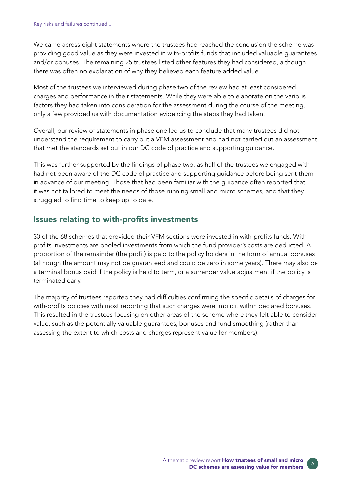We came across eight statements where the trustees had reached the conclusion the scheme was providing good value as they were invested in with-profts funds that included valuable guarantees and/or bonuses. The remaining 25 trustees listed other features they had considered, although there was often no explanation of why they believed each feature added value.

Most of the trustees we interviewed during phase two of the review had at least considered charges and performance in their statements. While they were able to elaborate on the various factors they had taken into consideration for the assessment during the course of the meeting, only a few provided us with documentation evidencing the steps they had taken.

Overall, our review of statements in phase one led us to conclude that many trustees did not understand the requirement to carry out a VFM assessment and had not carried out an assessment that met the standards set out in our DC code of practice and supporting guidance.

This was further supported by the findings of phase two, as half of the trustees we engaged with had not been aware of the DC code of practice and supporting guidance before being sent them in advance of our meeting. Those that had been familiar with the guidance often reported that it was not tailored to meet the needs of those running small and micro schemes, and that they struggled to find time to keep up to date.

### Issues relating to with-profits investments

30 of the 68 schemes that provided their VFM sections were invested in with-profts funds. Withprofits investments are pooled investments from which the fund provider's costs are deducted. A proportion of the remainder (the proft) is paid to the policy holders in the form of annual bonuses (although the amount may not be guaranteed and could be zero in some years). There may also be a terminal bonus paid if the policy is held to term, or a surrender value adjustment if the policy is terminated early.

The majority of trustees reported they had difficulties confirming the specific details of charges for with-profits policies with most reporting that such charges were implicit within declared bonuses. This resulted in the trustees focusing on other areas of the scheme where they felt able to consider value, such as the potentially valuable guarantees, bonuses and fund smoothing (rather than assessing the extent to which costs and charges represent value for members).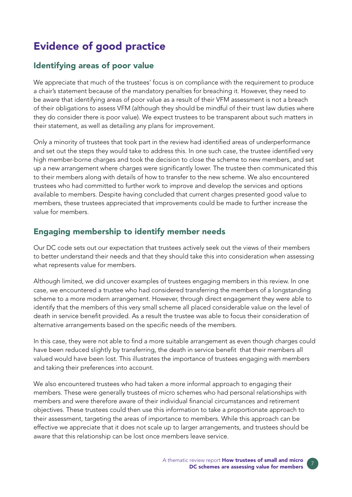# Evidence of good practice

### Identifying areas of poor value

We appreciate that much of the trustees' focus is on compliance with the requirement to produce a chair's statement because of the mandatory penalties for breaching it. However, they need to be aware that identifying areas of poor value as a result of their VFM assessment is not a breach of their obligations to assess VFM (although they should be mindful of their trust law duties where they do consider there is poor value). We expect trustees to be transparent about such matters in their statement, as well as detailing any plans for improvement.

Only a minority of trustees that took part in the review had identifed areas of underperformance and set out the steps they would take to address this. In one such case, the trustee identified very high member-borne charges and took the decision to close the scheme to new members, and set up a new arrangement where charges were signifcantly lower. The trustee then communicated this to their members along with details of how to transfer to the new scheme. We also encountered trustees who had committed to further work to improve and develop the services and options available to members. Despite having concluded that current charges presented good value to members, these trustees appreciated that improvements could be made to further increase the value for members.

### Engaging membership to identify member needs

Our DC code sets out our expectation that trustees actively seek out the views of their members to better understand their needs and that they should take this into consideration when assessing what represents value for members.

Although limited, we did uncover examples of trustees engaging members in this review. In one case, we encountered a trustee who had considered transferring the members of a longstanding scheme to a more modern arrangement. However, through direct engagement they were able to identify that the members of this very small scheme all placed considerable value on the level of death in service benefit provided. As a result the trustee was able to focus their consideration of alternative arrangements based on the specific needs of the members.

In this case, they were not able to find a more suitable arrangement as even though charges could have been reduced slightly by transferring, the death in service benefit that their members all valued would have been lost. This illustrates the importance of trustees engaging with members and taking their preferences into account.

We also encountered trustees who had taken a more informal approach to engaging their members. These were generally trustees of micro schemes who had personal relationships with members and were therefore aware of their individual fnancial circumstances and retirement objectives. These trustees could then use this information to take a proportionate approach to their assessment, targeting the areas of importance to members. While this approach can be effective we appreciate that it does not scale up to larger arrangements, and trustees should be aware that this relationship can be lost once members leave service.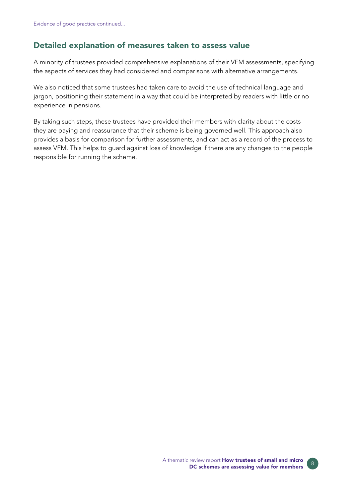### Detailed explanation of measures taken to assess value

A minority of trustees provided comprehensive explanations of their VFM assessments, specifying the aspects of services they had considered and comparisons with alternative arrangements.

We also noticed that some trustees had taken care to avoid the use of technical language and jargon, positioning their statement in a way that could be interpreted by readers with little or no experience in pensions.

By taking such steps, these trustees have provided their members with clarity about the costs they are paying and reassurance that their scheme is being governed well. This approach also provides a basis for comparison for further assessments, and can act as a record of the process to assess VFM. This helps to guard against loss of knowledge if there are any changes to the people responsible for running the scheme.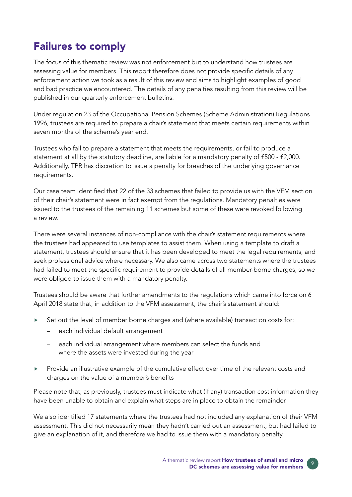# Failures to comply

The focus of this thematic review was not enforcement but to understand how trustees are assessing value for members. This report therefore does not provide specific details of any enforcement action we took as a result of this review and aims to highlight examples of good and bad practice we encountered. The details of any penalties resulting from this review will be published in our quarterly enforcement bulletins.

Under regulation 23 of the Occupational Pension Schemes (Scheme Administration) Regulations 1996, trustees are required to prepare a chair's statement that meets certain requirements within seven months of the scheme's year end.

Trustees who fail to prepare a statement that meets the requirements, or fail to produce a statement at all by the statutory deadline, are liable for a mandatory penalty of £500 - £2,000. Additionally, TPR has discretion to issue a penalty for breaches of the underlying governance requirements.

Our case team identifed that 22 of the 33 schemes that failed to provide us with the VFM section of their chair's statement were in fact exempt from the regulations. Mandatory penalties were issued to the trustees of the remaining 11 schemes but some of these were revoked following a review.

There were several instances of non-compliance with the chair's statement requirements where the trustees had appeared to use templates to assist them. When using a template to draft a statement, trustees should ensure that it has been developed to meet the legal requirements, and seek professional advice where necessary. We also came across two statements where the trustees had failed to meet the specific requirement to provide details of all member-borne charges, so we were obliged to issue them with a mandatory penalty.

Trustees should be aware that further amendments to the regulations which came into force on 6 April 2018 state that, in addition to the VFM assessment, the chair's statement should:

- Set out the level of member borne charges and (where available) transaction costs for:
	- each individual default arrangement
	- each individual arrangement where members can select the funds and where the assets were invested during the year
- Provide an illustrative example of the cumulative effect over time of the relevant costs and charges on the value of a member's benefits

Please note that, as previously, trustees must indicate what (if any) transaction cost information they have been unable to obtain and explain what steps are in place to obtain the remainder.

We also identifed 17 statements where the trustees had not included any explanation of their VFM assessment. This did not necessarily mean they hadn't carried out an assessment, but had failed to give an explanation of it, and therefore we had to issue them with a mandatory penalty.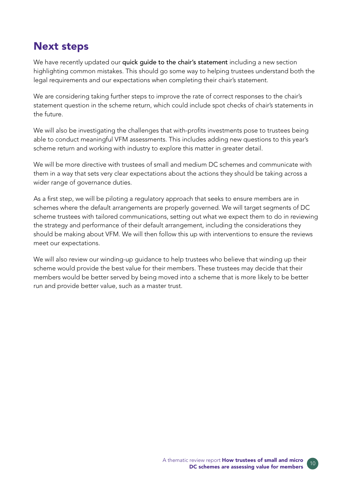### Next steps

We have recently updated our quick quide to the chair's statement including a new section highlighting common mistakes. This should go some way to helping trustees understand both the legal requirements and our expectations when completing their chair's statement.

We are considering taking further steps to improve the rate of correct responses to the chair's statement question in the scheme return, which could include spot checks of chair's statements in the future.

We will also be investigating the challenges that with-profts investments pose to trustees being able to conduct meaningful VFM assessments. This includes adding new questions to this year's scheme return and working with industry to explore this matter in greater detail.

We will be more directive with trustees of small and medium DC schemes and communicate with them in a way that sets very clear expectations about the actions they should be taking across a wider range of governance duties.

As a first step, we will be piloting a regulatory approach that seeks to ensure members are in schemes where the default arrangements are properly governed. We will target segments of DC scheme trustees with tailored communications, setting out what we expect them to do in reviewing the strategy and performance of their default arrangement, including the considerations they should be making about VFM. We will then follow this up with interventions to ensure the reviews meet our expectations.

We will also review our winding-up guidance to help trustees who believe that winding up their scheme would provide the best value for their members. These trustees may decide that their members would be better served by being moved into a scheme that is more likely to be better run and provide better value, such as a master trust.